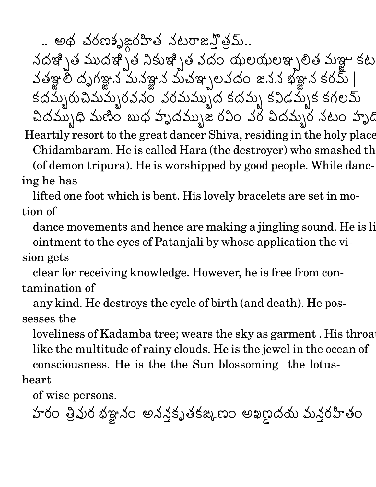.. అథ చంణం)జంహత సెటరాజని తేమి..

" #\$ &%' )(\*#\$ &%' +-,\$ .%/ 01 #32 45 645 6\$%'7 the contract of the contract of the contract of the contract of the contract of the contract of the contract of . . . . . . . . <sup>9</sup> : - - -పతిఞల దృగఞన మనఞన మనేళ్ల న మిచేఞ్పలి వద  $\mathfrak{D} \mathfrak{A} \mathfrak{A}$  \eygo &yy  $\mathfrak{A}$   $\mathfrak{A} \mathfrak{A}$   $\mathfrak{A}$   $\mathfrak{A}$   $\mathfrak{A}$   $\mathfrak{S}$   $\mathfrak{O}$   $\mathfrak{D}$   $\mathfrak{I}$  $\mathsf{SO}\mathsf{D}\mathsf{D} \models \Box$ :  $\mathcal{S}(\Delta, \Delta)$ ရာမျှသည် (၁၁၁၀ ) ၁၀သည် render and the contract of the contract of the contract of the contract of the contract of the contract of the మ్మంపేసం పెంమమ్ముని కోదమ్మ కోవడ )(EAC# : కేదేమ్ప కవిడేమ్స్త కగలమ : కోపడవ్పుక కగలవు . . . . . . కగల*మ* ఎద్దమ్ముధి మణం బుధ హె మణం బుధ హృదమ్భుజ రీఎం ఎం చేదమ్మం నటం హృద

Heartily resort to the great dancer Shiva, residing in the holy place, Chidambaram. He is called Hara (the destroyer) who smashed the (of demon tripura). He is worshipped by good people. While dancing he has

lifted one foot which is bent. His lovely bracelets are set in motion of

dance movements and hence are making a jingling sound. He is li ointment to the eyes of Patanjali by whose application the vi-

sion gets

clear for receiving knowledge. However, he is free from contamination of

any kind. He destroys the cycle of birth (and death). He possesses the

loveliness of Kadamba tree; wears the sky as garment. His throat like the multitude of rainy clouds. He is the jewel in the ocean of consciousness. He is the the Sun blossoming the lotus-

heart

of wise persons.

హంం తేవుం భజ్నం అననకృత్తక్షుణం : UW PRODUCT STATE AND RESERVE AND RESERVE AND RESERVE AND RESERVE AND RESERVE AND RESERVE AND RESERVE AND RESERVE మనీంహితం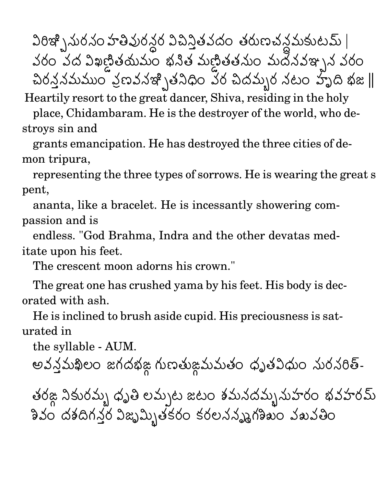F<\$ &% "( "T2 <sup>R</sup> 01S - 0 ಎವಿನಿತಿಎೆದಿಂ ತಿರುಣವಿನಿಮಿತುಲವು | 032 0 # F-X- LY Z <sup>2</sup> => " LY (2 # 1 D\$%'1 01T2 చింనినేమీముం పెణవినేతో \తేన  $\Delta$ ນ໐ຸລ໌ຕລ້ວ ສະພາອິດ ລັດ ລິດລົງໄດ້ ລົຍດີ ລົງໄດ້ ກໍຂໍ $\parallel$ @ @

Heartily resort to the great dancer, Shiva, residing in the holy

place, Chidambaram. He is the destroyer of the world, who destroys sin and

grants emancipation. He has destroyed the three cities of demon tripura,

representing the three types of sorrows. He is wearing the great s pent,

ananta, like a bracelet. He is incessantly showering compassion and is

endless. "God Brahma, Indra and the other devatas meditate upon his feet.

The crescent moon adorns his crown."

The great one has crushed yama by his feet. His body is decorated with ash.

He is inclined to brush aside cupid. His preciousness is saturated in

the syllable - AUM.

ಅವಿನಿಮಿಖಿಲಂ ಜಗಿದೆಭಿಜ ಗುಣತುಜಮಮತಂ ಧ್ವ . . . . . a se de la construcción de la construcción de la construcción de la construcción de la construcción de la cons మతం ధృతపథుం నురనరిత్-

తెంజ సేకుంప్పు ధృతే లవ్పుట జటం శిమనదేవ్పునుహింది థవహింవు శివం దశదిగనర విజృమ్యితకరం కర . . . . . . . . . . : 11. V V . . 19. . . . V 9.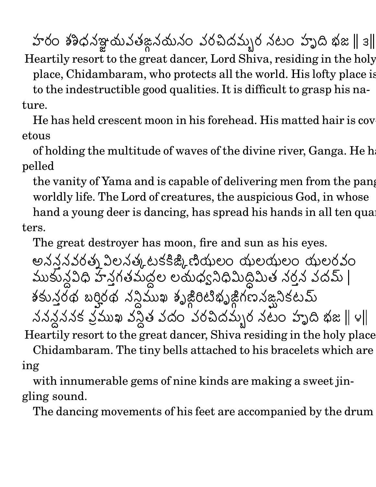హరం శశిధనఞయవతఙనయనం వరచిదమ్మర నటం హృది భజ || ౩|| @ @ @ @

Heartily resort to the great dancer, Lord Shiva, residing in the holy place, Chidambaram, who protects all the world. His lofty place is to the indestructible good qualities. It is difficult to grasp his nature.

He has held crescent moon in his forehead. His matted hair is covetous

of holding the multitude of waves of the divine river, Ganga. He h pelled

the vanity of Yama and is capable of delivering men from the pang worldly life. The Lord of creatures, the auspicious God, in whose hand a young deer is dancing, has spread his hands in all ten quarters.

The great destroyer has moon, fire and sun as his eyes.

అనననవంత్స ఎలస్త్రు టకక్ష్మ చియ్తలం ద : . . . . . . : &VP L 45 <sup>62</sup> 45 64 <sup>62</sup> 45 6 DT2 ,我们也不会有什么。""你们,你们不会有什么?""你们,你们不会有什么?""你们,你们不会有什么?""你们,你们不会有什么?""你们,你们不会有什么?""你们, ముకునివిధ హనగతిమద్దల లయధ్వనిధమిం <sup>6</sup> 6Z[ OP+-K FU(\*Q ದ್ದಿ ಬಂತಿ ಎದಿಮಿ |  $\mathcal{S} \subset \mathcal{S} \subset \mathcal{S}$  and  $\mathcal{S} \subset \mathcal{S}$  With With West Control of Monte West The Military Control of the United States of the United States of the United States of the United States of the United States of the United States of the United States of the United Sta  $\sim$   $\sim$ . . . . . . . .  $\blacksquare$  . The contract of the contract of the contract of the contract of the contract of the contract of the contract of the contract of the contract of the contract of the contract of the contract of the contract of the " 1 క ఎముఖ ఎస్తే ఎదిం ఎంఓ  $\blacksquare$  . The contract of the contract of the contract of the contract of the contract of the contract of the contract of the contract of the contract of the contract of the contract of the contract of the contract of the  $\mathbf{G}$  ಎಂಎಂಎಎನ್ನಿಂ ಎಲಂ ಬ್ಬಾದ ಭಿಜ || ೪|| @ @ @ @

Heartily resort to the great dancer, Shiva residing in the holy place, Chidambaram. The tiny bells attached to his bracelets which are

ing

with innumerable gems of nine kinds are making a sweet jingling sound.

The dancing movements of his feet are accompanied by the drum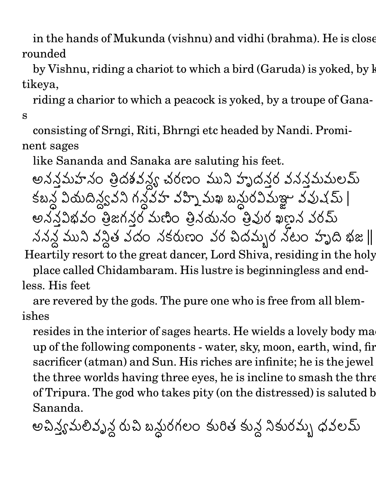in the hands of Mukunda (vishnu) and vidhi (brahma). He is close rounded

by Vishnu, riding a chariot to which a bird (Garuda) is yoked, by k tikeya,

riding a charior to which a peacock is yoked, by a troupe of Ganas

consisting of Srngi, Riti, Bhrngi etc headed by Nandi. Prominent sages

like Sananda and Sanaka are saluting his feet.

అననమహసం తెదకీపన్య చరణం ముస్ హృద  $\mathfrak{w}$ λ  $\mathfrak{T}$  (dad aanaalay care) మలవు : UN1 - F-Z[ <sup>Q</sup> 1 . . . . . . <u>. . .</u> . . - D1 D - <sup>X</sup> N1( -  $\mathtt{0.5}$ మిఞు వివువు |  $\sim$  9  $\sim$  9  $\sim$  9  $\sim$  9  $\sim$  9  $\sim$  9  $\sim$  9  $\sim$  9  $\sim$  9  $\sim$  9  $\sim$  9  $\sim$  9  $\sim$  9  $\sim$  9  $\sim$  9  $\sim$  9  $\sim$  9  $\sim$  9  $\sim$  9  $\sim$  9  $\sim$  9  $\sim$  9  $\sim$  9  $\sim$  9  $\sim$  9  $\sim$  9  $\sim$  9  $\sim$  9  $\sim$  9  $\sim$  9  $\sim$  9  $\sim$  $\mathfrak{Q}(\mathfrak{Q})=\mathfrak{Q}(\mathfrak{Q})$ ಅನಿನಿವಿಭಿಎಂ ತೆಜಗಿನಿಂ ಮಿಣಂ ತ మణం తెనయనం తేవుం ఖణన ఎంమి " 1 1 **一个人的**是,但是我们的人们就会在这里的人们,我们就会在这里的人们,我们就会在这里的人们,我们就会在这里的人们,我们就会在这里的人们,我们就会在这里的人们,我们 )(C+ D <sup>+</sup> 01 #32 "  $\sim$  10  $\sim$  500  $\sim$  600  $\sim$  7)  $\sim$  82  $\parallel$ @ @ Heartily resort to the great dancer, Lord Shiva, residing in the holy place called Chidambaram. His lustre is beginningless and endless. His feet

are revered by the gods. The pure one who is free from all blemishes

resides in the interior of sages hearts. He wields a lovely body ma up of the following components - water, sky, moon, earth, wind, fire, sacrificer (atman) and Sun. His riches are infinite; he is the jewel the three worlds having three eyes, he is incline to smash the three of Tripura. The god who takes pity (on the distressed) is saluted b Sananda.

ಅವಿನ್ಯೆ ಮಿಲಿವೈನ್ಗಿ ಯಾ ಬಸುಂಗಲಂ ತು  $-$  -box  $-$  -box  $-$  -box  $-$  -box  $-$  -box  $-$  -box  $-$  -box  $-$  -box  $-$  -box  $-$  ; <sup>62</sup> , ,1 స్తే స్థానించి) దీనించి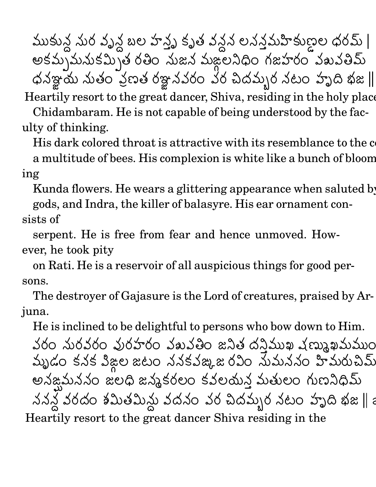(C,1 నుం వృన బల హన్న కృత వన. : . . . . . . . .  $\sim$  . The contract of the contract of the contract of the contract of the contract of the contract of the contract of the contract of the contract of the contract of the contract of the contract of the contract of the co న లననమహకుణల ధంమి | - కమ్పమీనుకప్పుతే రీతం సుజ in the contract of the contract of the contract of the contract of the contract of the contract of the contract FU(C R2 "( ,我们也不会有什么。""我们,我们也不会有什么?""我们,我们也不会有什么?""我们,我们也不会有什么?""我们,我们也不会有什么?""我们,我们也不会有什么? మఙలసధం గజహంం పెబపతేమ  $\phi$ సేఞయ నుతం ఎణత రేఞనవంం వం చేదమ్మం నటం హృద ఖజ || @ @ Heartily resort to the great dancer, Shiva, residing in the holy place, Chidambaram. He is not capable of being understood by the faculty of thinking.

His dark colored throat is attractive with its resemblance to the colour of a multitude of bees. His complexion is white like a bunch of blooming

Kunda flowers. He wears a glittering appearance when saluted by

gods, and Indra, the killer of balasyre. His ear ornament consists of

serpent. He is free from fear and hence unmoved. However, he took pity

on Rati. He is a reservoir of all auspicious things for good persons.

The destroyer of Gajasure is the Lord of creatures, praised by Arjuna.

He is inclined to be delightful to persons who bow down to Him.

032 "( D1T2 01S 32 01U(\*01 R2 +- # <sup>+</sup> a construction of the construction of the construction of the construction of the construction of the construction of the construction of the construction of the construction of the construction of the construction of the  $\mathfrak{D}(\mathfrak{D})=\mathfrak{D}(\mathfrak{D})$  and  $\mathfrak{D}(\mathfrak{D})=\mathfrak{D}(\mathfrak{D})$ )(2 ния с процессов производство на селото на селото на селото на селото на селото на селото на селото на селото н<br>Селото на селото на селото на селото на селото на селото на селото на селото на селото на селото на селото на  GI32 : 1 : The contract of the contract of the contract of the contract of the contract of the contract of the contract of the contract of the contract of the contract of the contract of the contract of the contract of the contract 01 '6 2 " in the contract of the contract of the contract of the contract of the contract of the contract of the contract of the contract of the contract of the contract of the contract of the contract of the contract of the contrac కపఙ,జరవం సుమనసం హమరుచేమ మీరుచేమి అసఙమనసం జలధ జన్మకంలం కె. . . . . . . . . . . . : కేవలయన మతులం గుణనీధమి . . . . . . . D #32 FU(\* FU(C(  $20\,$ ఎం  $10\,$   $20\,$ ఎ)  $0\,$   $300\,$   $3\,$   $3\,$   $3\,$   $3\,$   $8\,$   $\parallel$   $2\,$ . We are also assumed to the contract of the contract of the contract of the contract of the contract of the contract of the contract of the contract of the contract of the contract of the contract of the contract of the c Heartily resort to the great dancer Shiva residing in the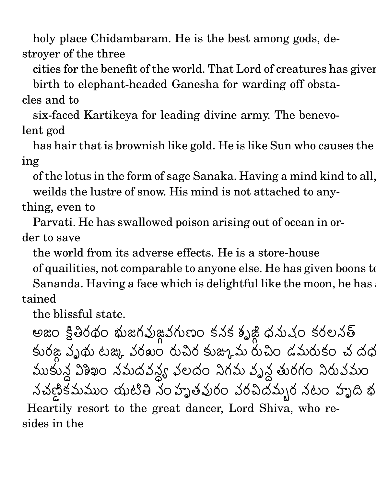holy place Chidambaram. He is the best among gods, destroyer of the three

cities for the benefit of the world. That Lord of creatures has given

birth to elephant-headed Ganesha for warding off obstacles and to

six-faced Kartikeya for leading divine army. The benevolent god

has hair that is brownish like gold. He is like Sun who causes the ing

of the lotus in the form of sage Sanaka. Having a mind kind to all, he weilds the lustre of snow. His mind is not attached to any-

## thing, even to

Parvati. He has swallowed poison arising out of ocean in order to save

the world from its adverse effects. He is a store-house

of quailities, not comparable to anyone else. He has given boons to Sananda. Having a face which is delightful like the moon, he has tained

the blissful state.

-<sup>2</sup> R) 32 =( ; 0S D1 ;(C 2 : . . . . . . :  O ( -32 ಽ೦**ಲ**ನಿತ కుంజ ఎ)థు టజ్క ఎంఖం రుచిం కుజ్కుమీ రుచిం డమీరుకం చే దథ : T2 # O (C,1 న విశిఖం నమదవన్య వలదం నిగవ - <u>- International Control</u>ers and the control of the control of the control of the control of the control of the control of the control of the control of the control of the control of the control of the control of the con స్టీలదం సెగ్జప్ పృస్తితుంగం సేరుపెమం " LY కమముం యుటతే సంహా и производство при применении с производство на селото на селото на селото на селото на селото на селото на се  $\mathfrak{O}(2) \rightarrow \mathfrak{O}(2)$  and  $\mathfrak{O}(2) \rightarrow \mathfrak{O}(2)$  and  $\mathfrak{O}(2) \rightarrow \mathfrak{O}(2)$  and  $\mathfrak{O}(2) \rightarrow \mathfrak{O}(2)$ Heartily resort to the great dancer, Lord Shiva, who resides in the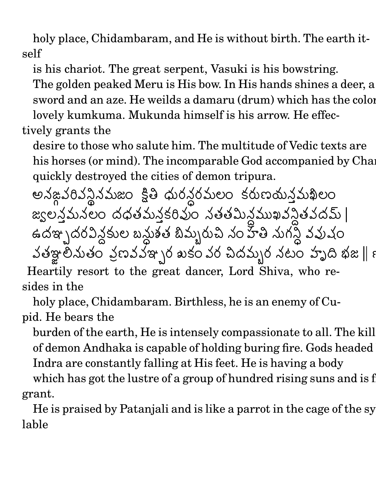holy place, Chidambaram, and He is without birth. The earth itself

is his chariot. The great serpent, Vasuki is his bowstring.

The golden peaked Meru is His bow. In His hands shines a deer, a sword and an aze. He weilds a damaru (drum) which has the color lovely kumkuma. Mukunda himself is his arrow. He effec-

tively grants the

desire to those who salute him. The multitude of Vedic texts are his horses (or mind). The incomparable God accompanied by Chandical has has had quickly destroyed the cities of demon tripura.

అనఙపరిప్పనమజం క్షత్ ధుంసంమలం స్థింపులం కరుణమనమిఖ ಽಁೲಐಮನ್ನಮಿಖಲಂ  $\log$ ಲನಮನಲಂ ದೆಧಿತಮನ§ರವುಂ ನಿತ್ತಾಮನಮುಖ್ಯನ್ನತ್ತುದ್ದವು | #\$%'# F-  $\blacksquare$  . The set of  $\blacksquare$  is the set of  $\blacksquare$  . In the set of  $\blacksquare$  , and the set of  $\blacksquare$ ,6 N1( - - - - - - - - rende and the contract of the contract of the contract of the contract of the contract of the contract of the <sup>A</sup>(CB "T2 <sup>R</sup> "(C; <sup>+</sup> D1 0S -32 పతిఞ్రానుతం పణవప్తా \రీ ఖకం ఎం చి  $\mathcal{S} \circ \mathcal{S} \circ \mathcal{S} \circ \mathcal{S} \circ \mathcal{S} \circ \mathcal{S} \circ \mathcal{S} \circ \mathcal{S} \circ \mathcal{S} \circ \mathcal{S} \circ \mathcal{S} \circ \mathcal{S} \circ \mathcal{S} \circ \mathcal{S} \circ \mathcal{S} \circ \mathcal{S} \circ \mathcal{S} \circ \mathcal{S} \circ \mathcal{S} \circ \mathcal{S} \circ \mathcal{S} \circ \mathcal{S} \circ \mathcal{S} \circ \mathcal{S} \circ \mathcal{S} \circ \mathcal{S} \circ \mathcal{S} \circ \mathcal{$ @ @ Heartily resort to the great dancer, Lord Shiva, who resides in the

holy place, Chidambaram. Birthless, he is an enemy of Cupid. He bears the

burden of the earth, He is intensely compassionate to all. The kill of demon Andhaka is capable of holding buring fire. Gods headed Indra are constantly falling at His feet. He is having a body

which has got the lustre of a group of hundred rising suns and is f grant.

He is praised by Patanjali and is like a parrot in the cage of the syllable